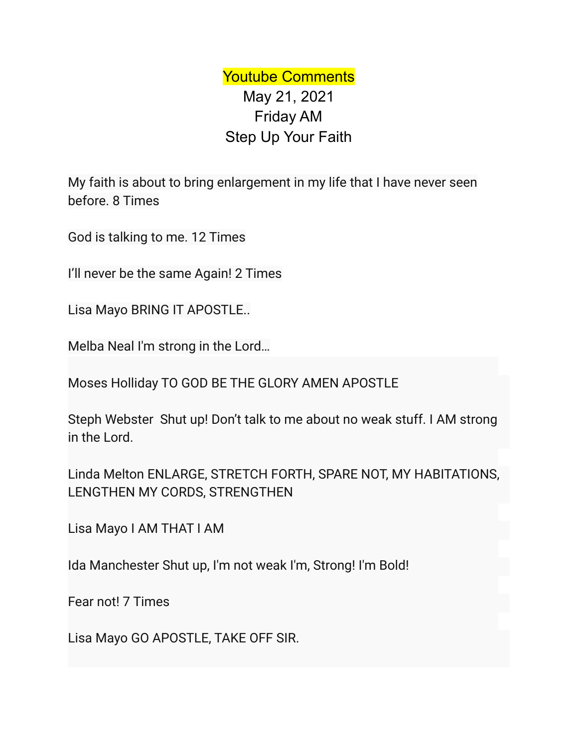Youtube Comments May 21, 2021 Friday AM Step Up Your Faith

My faith is about to bring enlargement in my life that I have never seen before. 8 Times

God is talking to me. 12 Times

I'll never be the same Again! 2 Times

Lisa Mayo BRING IT APOSTLE..

Melba Neal I'm strong in the Lord…

Moses Holliday TO GOD BE THE GLORY AMEN APOSTLE

Steph Webster Shut up! Don't talk to me about no weak stuff. I AM strong in the Lord.

Linda Melton ENLARGE, STRETCH FORTH, SPARE NOT, MY HABITATIONS, LENGTHEN MY CORDS, STRENGTHEN

Lisa Mayo I AM THAT I AM

Ida Manchester Shut up, I'm not weak I'm, Strong! I'm Bold!

Fear not! 7 Times

Lisa Mayo GO APOSTLE, TAKE OFF SIR.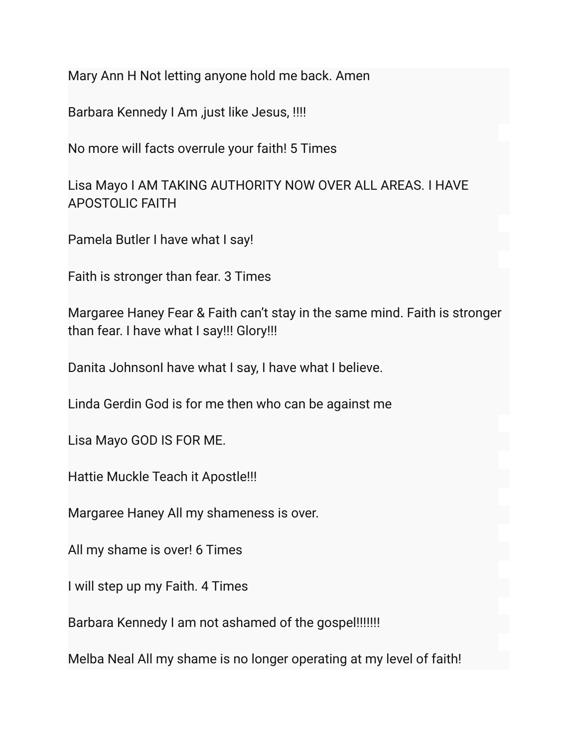Mary Ann H Not letting anyone hold me back. Amen

Barbara Kennedy I Am ,just like Jesus, !!!!

No more will facts overrule your faith! 5 Times

Lisa Mayo I AM TAKING AUTHORITY NOW OVER ALL AREAS. I HAVE APOSTOLIC FAITH

Pamela Butler I have what I say!

Faith is stronger than fear. 3 Times

Margaree Haney Fear & Faith can't stay in the same mind. Faith is stronger than fear. I have what I say!!! Glory!!!

Danita JohnsonI have what I say, I have what I believe.

Linda Gerdin God is for me then who can be against me

Lisa Mayo GOD IS FOR ME.

Hattie Muckle Teach it Apostle!!!

Margaree Haney All my shameness is over.

All my shame is over! 6 Times

I will step up my Faith. 4 Times

Barbara Kennedy I am not ashamed of the gospel!!!!!!!

Melba Neal All my shame is no longer operating at my level of faith!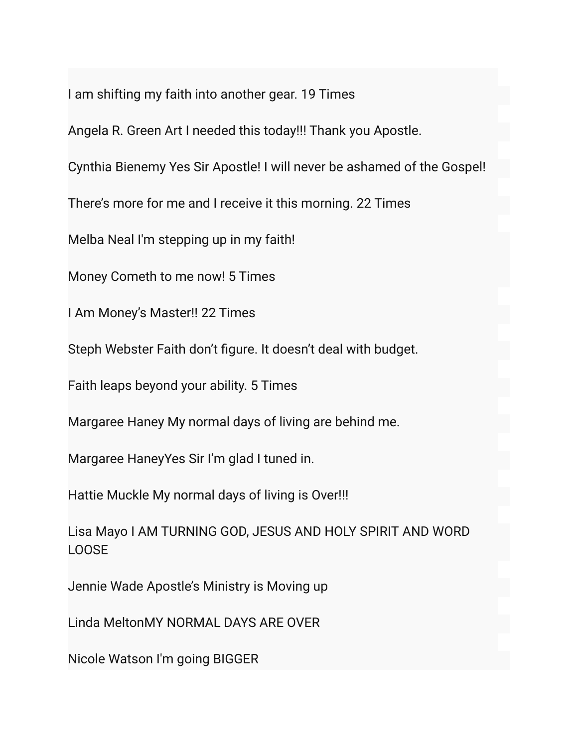I am shifting my faith into another gear. 19 Times

Angela R. Green Art I needed this today!!! Thank you Apostle.

Cynthia Bienemy Yes Sir Apostle! I will never be ashamed of the Gospel!

There's more for me and I receive it this morning. 22 Times

Melba Neal I'm stepping up in my faith!

Money Cometh to me now! 5 Times

I Am Money's Master!! 22 Times

Steph Webster Faith don't figure. It doesn't deal with budget.

Faith leaps beyond your ability. 5 Times

Margaree Haney My normal days of living are behind me.

Margaree HaneyYes Sir I'm glad I tuned in.

Hattie Muckle My normal days of living is Over!!!

Lisa Mayo I AM TURNING GOD, JESUS AND HOLY SPIRIT AND WORD LOOSE

Jennie Wade Apostle's Ministry is Moving up

Linda MeltonMY NORMAL DAYS ARE OVER

Nicole Watson I'm going BIGGER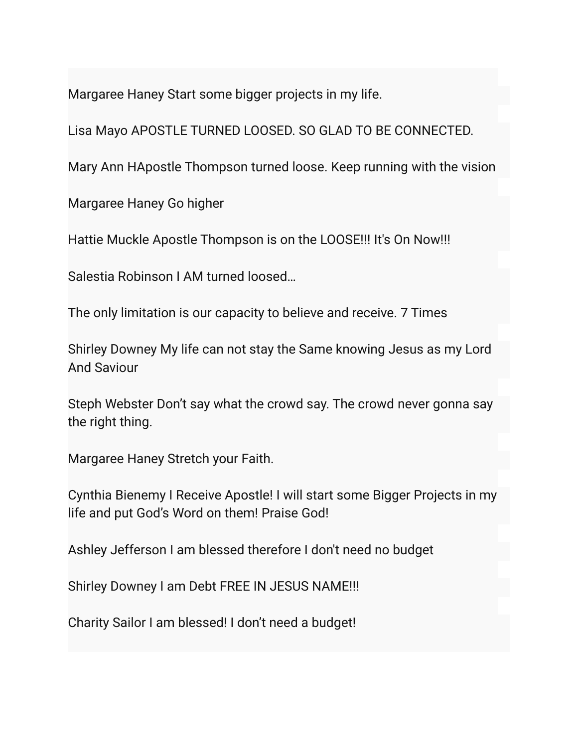Margaree Haney Start some bigger projects in my life.

Lisa Mayo APOSTLE TURNED LOOSED. SO GLAD TO BE CONNECTED.

Mary Ann HApostle Thompson turned loose. Keep running with the vision

Margaree Haney Go higher

Hattie Muckle Apostle Thompson is on the LOOSE!!! It's On Now!!!

Salestia Robinson I AM turned loosed…

The only limitation is our capacity to believe and receive. 7 Times

Shirley Downey My life can not stay the Same knowing Jesus as my Lord And Saviour

Steph Webster Don't say what the crowd say. The crowd never gonna say the right thing.

Margaree Haney Stretch your Faith.

Cynthia Bienemy I Receive Apostle! I will start some Bigger Projects in my life and put God's Word on them! Praise God!

Ashley Jefferson I am blessed therefore I don't need no budget

Shirley Downey I am Debt FREE IN JESUS NAME!!!

Charity Sailor I am blessed! I don't need a budget!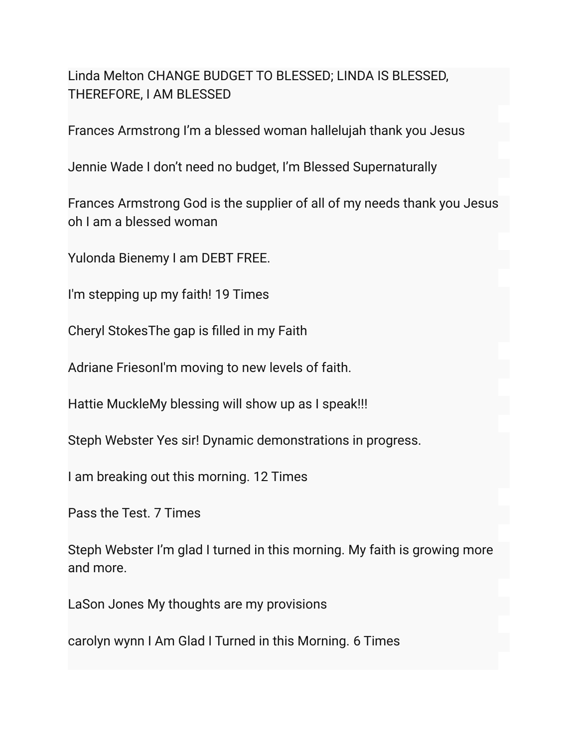Linda Melton CHANGE BUDGET TO BLESSED; LINDA IS BLESSED, THEREFORE, I AM BLESSED

Frances Armstrong I'm a blessed woman hallelujah thank you Jesus

Jennie Wade I don't need no budget, I'm Blessed Supernaturally

Frances Armstrong God is the supplier of all of my needs thank you Jesus oh I am a blessed woman

Yulonda Bienemy I am DEBT FREE.

I'm stepping up my faith! 19 Times

Cheryl StokesThe gap is filled in my Faith

Adriane FriesonI'm moving to new levels of faith.

Hattie MuckleMy blessing will show up as I speak!!!

Steph Webster Yes sir! Dynamic demonstrations in progress.

I am breaking out this morning. 12 Times

Pass the Test. 7 Times

Steph Webster I'm glad I turned in this morning. My faith is growing more and more.

LaSon Jones My thoughts are my provisions

carolyn wynn I Am Glad I Turned in this Morning. 6 Times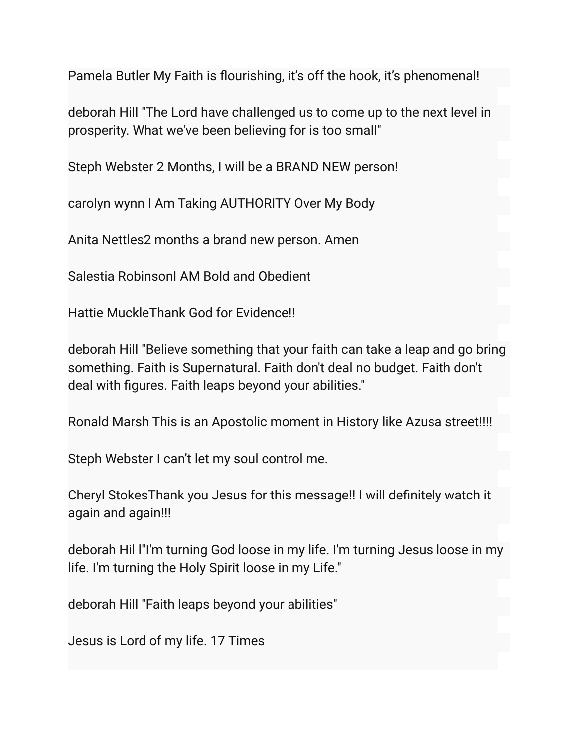Pamela Butler My Faith is flourishing, it's off the hook, it's phenomenal!

deborah Hill "The Lord have challenged us to come up to the next level in prosperity. What we've been believing for is too small"

Steph Webster 2 Months, I will be a BRAND NEW person!

carolyn wynn I Am Taking AUTHORITY Over My Body

Anita Nettles2 months a brand new person. Amen

Salestia RobinsonI AM Bold and Obedient

Hattie MuckleThank God for Evidence!!

deborah Hill "Believe something that your faith can take a leap and go bring something. Faith is Supernatural. Faith don't deal no budget. Faith don't deal with figures. Faith leaps beyond your abilities."

Ronald Marsh This is an Apostolic moment in History like Azusa street!!!!

Steph Webster I can't let my soul control me.

Cheryl StokesThank you Jesus for this message!! I will definitely watch it again and again!!!

deborah Hil l"I'm turning God loose in my life. I'm turning Jesus loose in my life. I'm turning the Holy Spirit loose in my Life."

deborah Hill "Faith leaps beyond your abilities"

Jesus is Lord of my life. 17 Times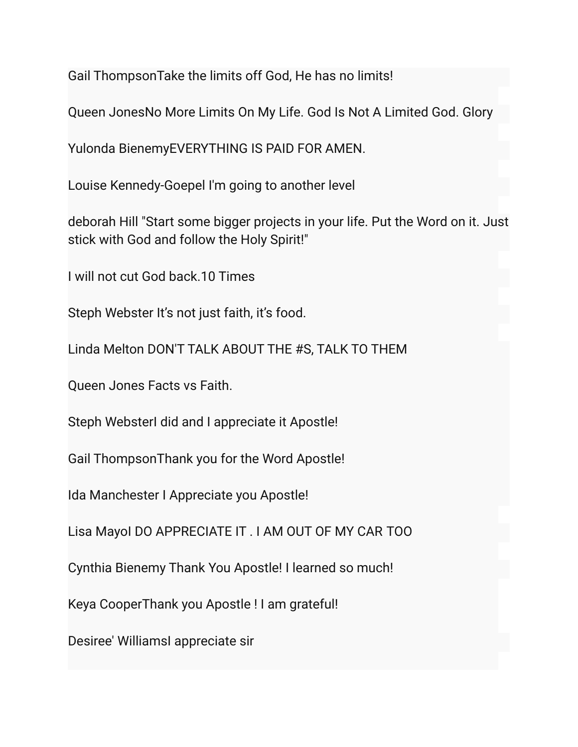Gail ThompsonTake the limits off God, He has no limits!

Queen JonesNo More Limits On My Life. God Is Not A Limited God. Glory

Yulonda BienemyEVERYTHING IS PAID FOR AMEN.

Louise Kennedy-Goepel I'm going to another level

deborah Hill "Start some bigger projects in your life. Put the Word on it. Just stick with God and follow the Holy Spirit!"

I will not cut God back.10 Times

Steph Webster It's not just faith, it's food.

Linda Melton DON'T TALK ABOUT THE #S, TALK TO THEM

Queen Jones Facts vs Faith.

Steph WebsterI did and I appreciate it Apostle!

Gail ThompsonThank you for the Word Apostle!

Ida Manchester I Appreciate you Apostle!

Lisa MayoI DO APPRECIATE IT . I AM OUT OF MY CAR TOO

Cynthia Bienemy Thank You Apostle! I learned so much!

Keya CooperThank you Apostle ! I am grateful!

Desiree' WilliamsI appreciate sir